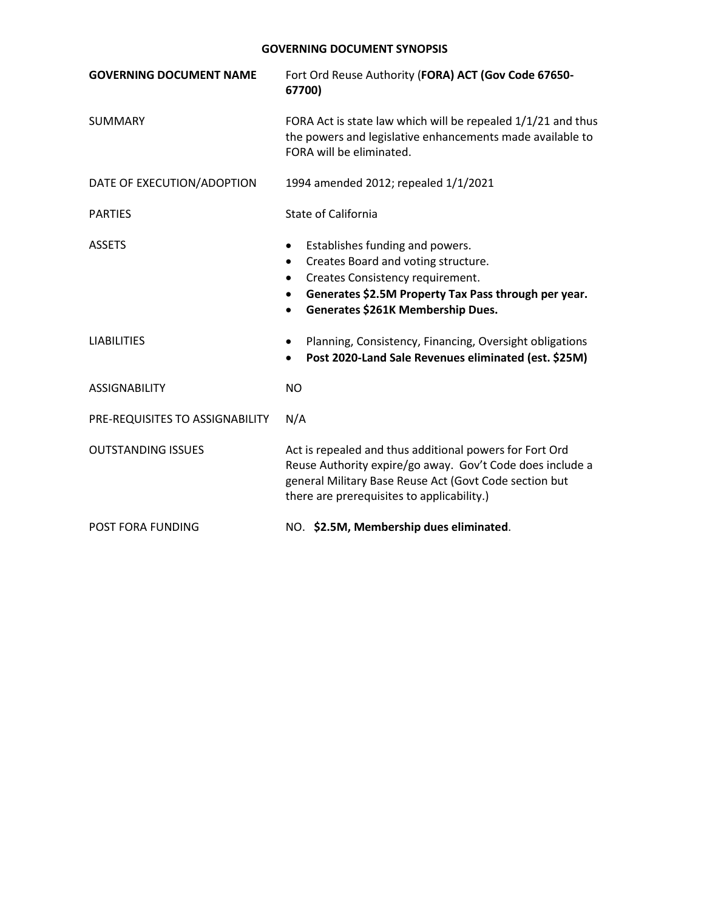| <b>GOVERNING DOCUMENT NAME</b>  | Fort Ord Reuse Authority (FORA) ACT (Gov Code 67650-<br>67700)                                                                                                                                                                                 |
|---------------------------------|------------------------------------------------------------------------------------------------------------------------------------------------------------------------------------------------------------------------------------------------|
| <b>SUMMARY</b>                  | FORA Act is state law which will be repealed 1/1/21 and thus<br>the powers and legislative enhancements made available to<br>FORA will be eliminated.                                                                                          |
| DATE OF EXECUTION/ADOPTION      | 1994 amended 2012; repealed 1/1/2021                                                                                                                                                                                                           |
| <b>PARTIES</b>                  | <b>State of California</b>                                                                                                                                                                                                                     |
| <b>ASSETS</b>                   | Establishes funding and powers.<br>Creates Board and voting structure.<br>$\bullet$<br>Creates Consistency requirement.<br>$\bullet$<br>Generates \$2.5M Property Tax Pass through per year.<br>Generates \$261K Membership Dues.<br>$\bullet$ |
| <b>LIABILITIES</b>              | Planning, Consistency, Financing, Oversight obligations<br>Post 2020-Land Sale Revenues eliminated (est. \$25M)                                                                                                                                |
| <b>ASSIGNABILITY</b>            | <b>NO</b>                                                                                                                                                                                                                                      |
| PRE-REQUISITES TO ASSIGNABILITY | N/A                                                                                                                                                                                                                                            |
| <b>OUTSTANDING ISSUES</b>       | Act is repealed and thus additional powers for Fort Ord<br>Reuse Authority expire/go away. Gov't Code does include a<br>general Military Base Reuse Act (Govt Code section but<br>there are prerequisites to applicability.)                   |
| <b>POST FORA FUNDING</b>        | NO. \$2.5M, Membership dues eliminated.                                                                                                                                                                                                        |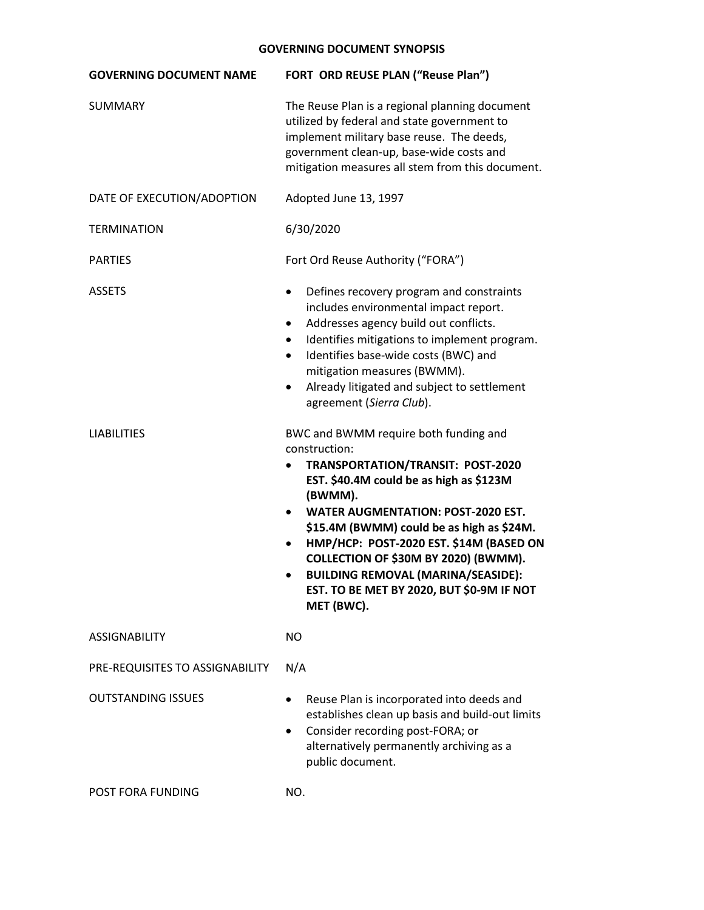| <b>GOVERNING DOCUMENT NAME</b>  | FORT ORD REUSE PLAN ("Reuse Plan")                                                                                                                                                                                                                                                                                                                                                                                                                                                   |
|---------------------------------|--------------------------------------------------------------------------------------------------------------------------------------------------------------------------------------------------------------------------------------------------------------------------------------------------------------------------------------------------------------------------------------------------------------------------------------------------------------------------------------|
| SUMMARY                         | The Reuse Plan is a regional planning document<br>utilized by federal and state government to<br>implement military base reuse. The deeds,<br>government clean-up, base-wide costs and<br>mitigation measures all stem from this document.                                                                                                                                                                                                                                           |
| DATE OF EXECUTION/ADOPTION      | Adopted June 13, 1997                                                                                                                                                                                                                                                                                                                                                                                                                                                                |
| <b>TERMINATION</b>              | 6/30/2020                                                                                                                                                                                                                                                                                                                                                                                                                                                                            |
| <b>PARTIES</b>                  | Fort Ord Reuse Authority ("FORA")                                                                                                                                                                                                                                                                                                                                                                                                                                                    |
| <b>ASSETS</b>                   | Defines recovery program and constraints<br>$\bullet$<br>includes environmental impact report.<br>Addresses agency build out conflicts.<br>$\bullet$<br>Identifies mitigations to implement program.<br>$\bullet$<br>Identifies base-wide costs (BWC) and<br>$\bullet$<br>mitigation measures (BWMM).<br>Already litigated and subject to settlement<br>$\bullet$<br>agreement (Sierra Club).                                                                                        |
| <b>LIABILITIES</b>              | BWC and BWMM require both funding and<br>construction:<br><b>TRANSPORTATION/TRANSIT: POST-2020</b><br>$\bullet$<br>EST. \$40.4M could be as high as \$123M<br>(BWMM).<br><b>WATER AUGMENTATION: POST-2020 EST.</b><br>$\bullet$<br>\$15.4M (BWMM) could be as high as \$24M.<br>HMP/HCP: POST-2020 EST. \$14M (BASED ON<br>COLLECTION OF \$30M BY 2020) (BWMM).<br><b>BUILDING REMOVAL (MARINA/SEASIDE):</b><br>$\bullet$<br>EST. TO BE MET BY 2020, BUT \$0-9M IF NOT<br>MET (BWC). |
| <b>ASSIGNABILITY</b>            | <b>NO</b>                                                                                                                                                                                                                                                                                                                                                                                                                                                                            |
| PRE-REQUISITES TO ASSIGNABILITY | N/A                                                                                                                                                                                                                                                                                                                                                                                                                                                                                  |
| <b>OUTSTANDING ISSUES</b>       | Reuse Plan is incorporated into deeds and<br>$\bullet$<br>establishes clean up basis and build-out limits<br>Consider recording post-FORA; or<br>$\bullet$<br>alternatively permanently archiving as a<br>public document.                                                                                                                                                                                                                                                           |
| POST FORA FUNDING               | NO.                                                                                                                                                                                                                                                                                                                                                                                                                                                                                  |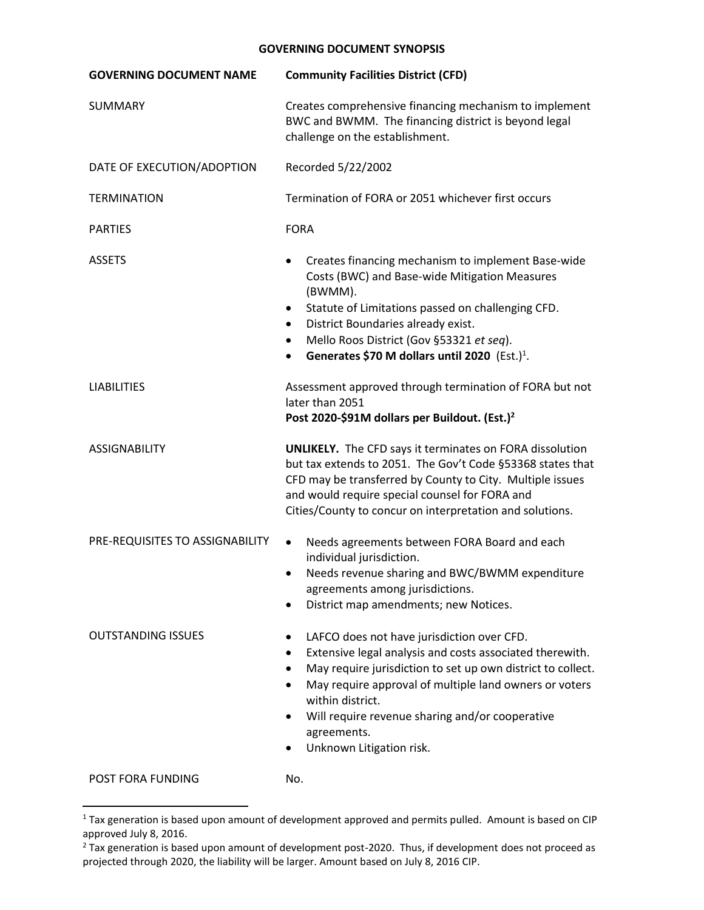| <b>GOVERNING DOCUMENT NAME</b>  | <b>Community Facilities District (CFD)</b>                                                                                                                                                                                                                                                                                                                  |
|---------------------------------|-------------------------------------------------------------------------------------------------------------------------------------------------------------------------------------------------------------------------------------------------------------------------------------------------------------------------------------------------------------|
| SUMMARY                         | Creates comprehensive financing mechanism to implement<br>BWC and BWMM. The financing district is beyond legal<br>challenge on the establishment.                                                                                                                                                                                                           |
| DATE OF EXECUTION/ADOPTION      | Recorded 5/22/2002                                                                                                                                                                                                                                                                                                                                          |
| <b>TERMINATION</b>              | Termination of FORA or 2051 whichever first occurs                                                                                                                                                                                                                                                                                                          |
| <b>PARTIES</b>                  | <b>FORA</b>                                                                                                                                                                                                                                                                                                                                                 |
| <b>ASSETS</b>                   | Creates financing mechanism to implement Base-wide<br>Costs (BWC) and Base-wide Mitigation Measures<br>(BWMM).<br>Statute of Limitations passed on challenging CFD.<br>$\bullet$<br>District Boundaries already exist.<br>٠<br>Mello Roos District (Gov §53321 et seq).<br>Generates \$70 M dollars until 2020 (Est.) <sup>1</sup> .                        |
| <b>LIABILITIES</b>              | Assessment approved through termination of FORA but not<br>later than 2051<br>Post 2020-\$91M dollars per Buildout. (Est.) <sup>2</sup>                                                                                                                                                                                                                     |
| <b>ASSIGNABILITY</b>            | <b>UNLIKELY.</b> The CFD says it terminates on FORA dissolution<br>but tax extends to 2051. The Gov't Code §53368 states that<br>CFD may be transferred by County to City. Multiple issues<br>and would require special counsel for FORA and<br>Cities/County to concur on interpretation and solutions.                                                    |
| PRE-REQUISITES TO ASSIGNABILITY | Needs agreements between FORA Board and each<br>$\bullet$<br>individual jurisdiction.<br>Needs revenue sharing and BWC/BWMM expenditure<br>٠<br>agreements among jurisdictions.<br>District map amendments; new Notices.                                                                                                                                    |
| <b>OUTSTANDING ISSUES</b>       | LAFCO does not have jurisdiction over CFD.<br>Extensive legal analysis and costs associated therewith.<br>٠<br>May require jurisdiction to set up own district to collect.<br>May require approval of multiple land owners or voters<br>٠<br>within district.<br>Will require revenue sharing and/or cooperative<br>agreements.<br>Unknown Litigation risk. |
| <b>POST FORA FUNDING</b>        | No.                                                                                                                                                                                                                                                                                                                                                         |

<sup>&</sup>lt;sup>1</sup> Tax generation is based upon amount of development approved and permits pulled. Amount is based on CIP approved July 8, 2016.

 $\overline{a}$ 

<sup>&</sup>lt;sup>2</sup> Tax generation is based upon amount of development post-2020. Thus, if development does not proceed as projected through 2020, the liability will be larger. Amount based on July 8, 2016 CIP.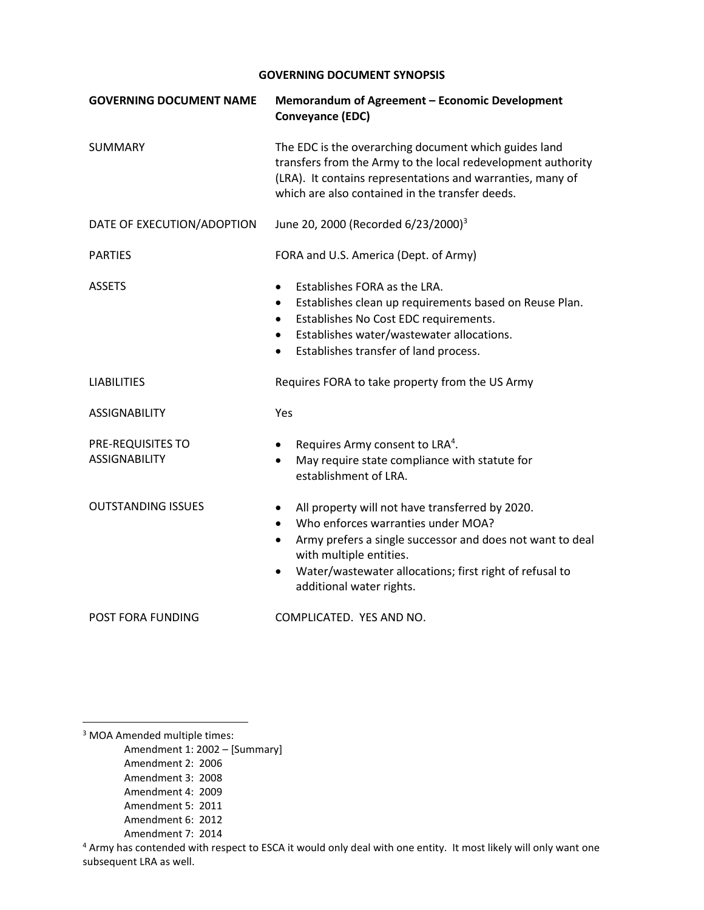| <b>GOVERNING DOCUMENT NAME</b>            | Memorandum of Agreement - Economic Development<br><b>Conveyance (EDC)</b>                                                                                                                                                                                                                                                |
|-------------------------------------------|--------------------------------------------------------------------------------------------------------------------------------------------------------------------------------------------------------------------------------------------------------------------------------------------------------------------------|
| <b>SUMMARY</b>                            | The EDC is the overarching document which guides land<br>transfers from the Army to the local redevelopment authority<br>(LRA). It contains representations and warranties, many of<br>which are also contained in the transfer deeds.                                                                                   |
| DATE OF EXECUTION/ADOPTION                | June 20, 2000 (Recorded 6/23/2000) <sup>3</sup>                                                                                                                                                                                                                                                                          |
| <b>PARTIES</b>                            | FORA and U.S. America (Dept. of Army)                                                                                                                                                                                                                                                                                    |
| <b>ASSETS</b>                             | Establishes FORA as the LRA.<br>$\bullet$<br>Establishes clean up requirements based on Reuse Plan.<br>$\bullet$<br>Establishes No Cost EDC requirements.<br>$\bullet$<br>Establishes water/wastewater allocations.<br>$\bullet$<br>Establishes transfer of land process.<br>$\bullet$                                   |
| <b>LIABILITIES</b>                        | Requires FORA to take property from the US Army                                                                                                                                                                                                                                                                          |
| <b>ASSIGNABILITY</b>                      | Yes                                                                                                                                                                                                                                                                                                                      |
| PRE-REQUISITES TO<br><b>ASSIGNABILITY</b> | Requires Army consent to LRA <sup>4</sup> .<br>$\bullet$<br>May require state compliance with statute for<br>establishment of LRA.                                                                                                                                                                                       |
| <b>OUTSTANDING ISSUES</b>                 | All property will not have transferred by 2020.<br>$\bullet$<br>Who enforces warranties under MOA?<br>$\bullet$<br>Army prefers a single successor and does not want to deal<br>$\bullet$<br>with multiple entities.<br>Water/wastewater allocations; first right of refusal to<br>$\bullet$<br>additional water rights. |
| POST FORA FUNDING                         | COMPLICATED. YES AND NO.                                                                                                                                                                                                                                                                                                 |

<sup>3</sup> MOA Amended multiple times:

 $\overline{\phantom{a}}$ 

Amendment 1: 2002 – [Summary]

- Amendment 2: 2006
- Amendment 3: 2008
- Amendment 4: 2009
- Amendment 5: 2011
- Amendment 6: 2012
- Amendment 7: 2014

<sup>4</sup> Army has contended with respect to ESCA it would only deal with one entity. It most likely will only want one subsequent LRA as well.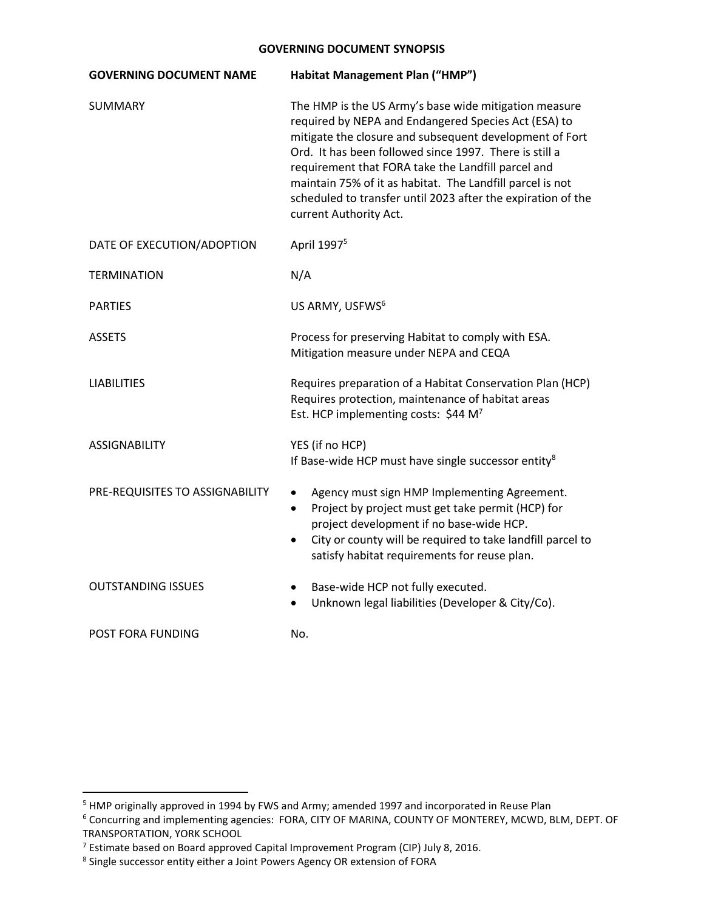| <b>GOVERNING DOCUMENT NAME</b>  | Habitat Management Plan ("HMP")                                                                                                                                                                                                                                                                                                                                                                                                                 |
|---------------------------------|-------------------------------------------------------------------------------------------------------------------------------------------------------------------------------------------------------------------------------------------------------------------------------------------------------------------------------------------------------------------------------------------------------------------------------------------------|
| <b>SUMMARY</b>                  | The HMP is the US Army's base wide mitigation measure<br>required by NEPA and Endangered Species Act (ESA) to<br>mitigate the closure and subsequent development of Fort<br>Ord. It has been followed since 1997. There is still a<br>requirement that FORA take the Landfill parcel and<br>maintain 75% of it as habitat. The Landfill parcel is not<br>scheduled to transfer until 2023 after the expiration of the<br>current Authority Act. |
| DATE OF EXECUTION/ADOPTION      | April 1997 <sup>5</sup>                                                                                                                                                                                                                                                                                                                                                                                                                         |
| <b>TERMINATION</b>              | N/A                                                                                                                                                                                                                                                                                                                                                                                                                                             |
| <b>PARTIES</b>                  | US ARMY, USFWS <sup>6</sup>                                                                                                                                                                                                                                                                                                                                                                                                                     |
| <b>ASSETS</b>                   | Process for preserving Habitat to comply with ESA.<br>Mitigation measure under NEPA and CEQA                                                                                                                                                                                                                                                                                                                                                    |
| <b>LIABILITIES</b>              | Requires preparation of a Habitat Conservation Plan (HCP)<br>Requires protection, maintenance of habitat areas<br>Est. HCP implementing costs: \$44 M <sup>7</sup>                                                                                                                                                                                                                                                                              |
| <b>ASSIGNABILITY</b>            | YES (if no HCP)<br>If Base-wide HCP must have single successor entity <sup>8</sup>                                                                                                                                                                                                                                                                                                                                                              |
| PRE-REQUISITES TO ASSIGNABILITY | Agency must sign HMP Implementing Agreement.<br>$\bullet$<br>Project by project must get take permit (HCP) for<br>$\bullet$<br>project development if no base-wide HCP.<br>City or county will be required to take landfill parcel to<br>satisfy habitat requirements for reuse plan.                                                                                                                                                           |
| <b>OUTSTANDING ISSUES</b>       | Base-wide HCP not fully executed.<br>Unknown legal liabilities (Developer & City/Co).                                                                                                                                                                                                                                                                                                                                                           |
| <b>POST FORA FUNDING</b>        | No.                                                                                                                                                                                                                                                                                                                                                                                                                                             |

l

<sup>&</sup>lt;sup>5</sup> HMP originally approved in 1994 by FWS and Army; amended 1997 and incorporated in Reuse Plan

<sup>6</sup> Concurring and implementing agencies: FORA, CITY OF MARINA, COUNTY OF MONTEREY, MCWD, BLM, DEPT. OF TRANSPORTATION, YORK SCHOOL

<sup>7</sup> Estimate based on Board approved Capital Improvement Program (CIP) July 8, 2016.

<sup>&</sup>lt;sup>8</sup> Single successor entity either a Joint Powers Agency OR extension of FORA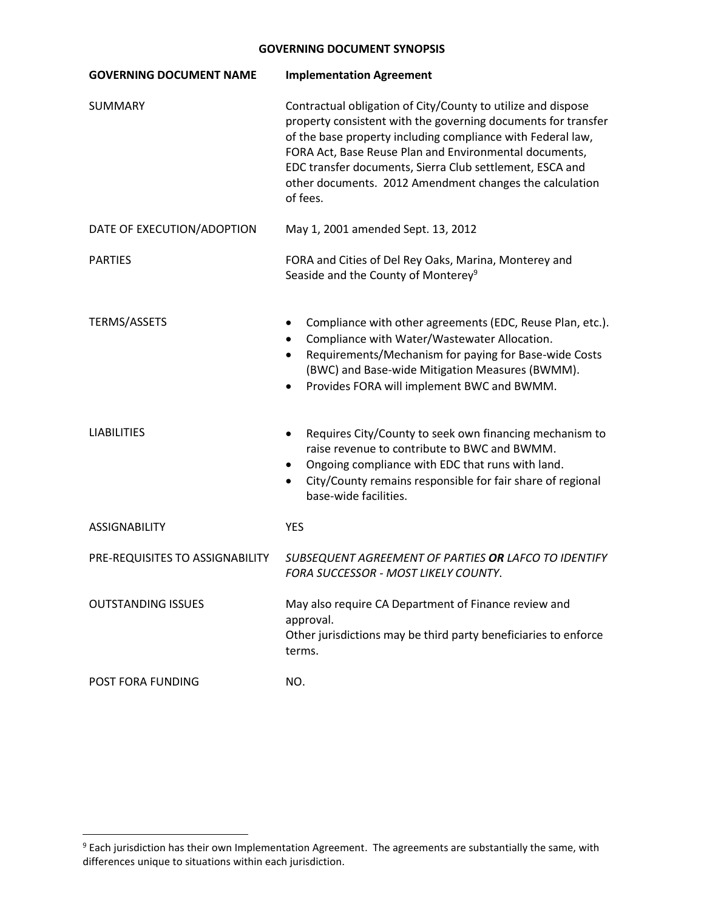| <b>GOVERNING DOCUMENT NAME</b>  | <b>Implementation Agreement</b>                                                                                                                                                                                                                                                                                                                                                           |
|---------------------------------|-------------------------------------------------------------------------------------------------------------------------------------------------------------------------------------------------------------------------------------------------------------------------------------------------------------------------------------------------------------------------------------------|
| <b>SUMMARY</b>                  | Contractual obligation of City/County to utilize and dispose<br>property consistent with the governing documents for transfer<br>of the base property including compliance with Federal law,<br>FORA Act, Base Reuse Plan and Environmental documents,<br>EDC transfer documents, Sierra Club settlement, ESCA and<br>other documents. 2012 Amendment changes the calculation<br>of fees. |
| DATE OF EXECUTION/ADOPTION      | May 1, 2001 amended Sept. 13, 2012                                                                                                                                                                                                                                                                                                                                                        |
| <b>PARTIES</b>                  | FORA and Cities of Del Rey Oaks, Marina, Monterey and<br>Seaside and the County of Monterey <sup>9</sup>                                                                                                                                                                                                                                                                                  |
| <b>TERMS/ASSETS</b>             | Compliance with other agreements (EDC, Reuse Plan, etc.).<br>Compliance with Water/Wastewater Allocation.<br>Requirements/Mechanism for paying for Base-wide Costs<br>$\bullet$<br>(BWC) and Base-wide Mitigation Measures (BWMM).<br>Provides FORA will implement BWC and BWMM.                                                                                                          |
| <b>LIABILITIES</b>              | Requires City/County to seek own financing mechanism to<br>$\bullet$<br>raise revenue to contribute to BWC and BWMM.<br>Ongoing compliance with EDC that runs with land.<br>City/County remains responsible for fair share of regional<br>٠<br>base-wide facilities.                                                                                                                      |
| <b>ASSIGNABILITY</b>            | <b>YES</b>                                                                                                                                                                                                                                                                                                                                                                                |
| PRE-REQUISITES TO ASSIGNABILITY | SUBSEQUENT AGREEMENT OF PARTIES OR LAFCO TO IDENTIFY<br><b>FORA SUCCESSOR - MOST LIKELY COUNTY.</b>                                                                                                                                                                                                                                                                                       |
| <b>OUTSTANDING ISSUES</b>       | May also require CA Department of Finance review and<br>approval.<br>Other jurisdictions may be third party beneficiaries to enforce<br>terms.                                                                                                                                                                                                                                            |
| POST FORA FUNDING               | NO.                                                                                                                                                                                                                                                                                                                                                                                       |

l

<sup>9</sup> Each jurisdiction has their own Implementation Agreement. The agreements are substantially the same, with differences unique to situations within each jurisdiction.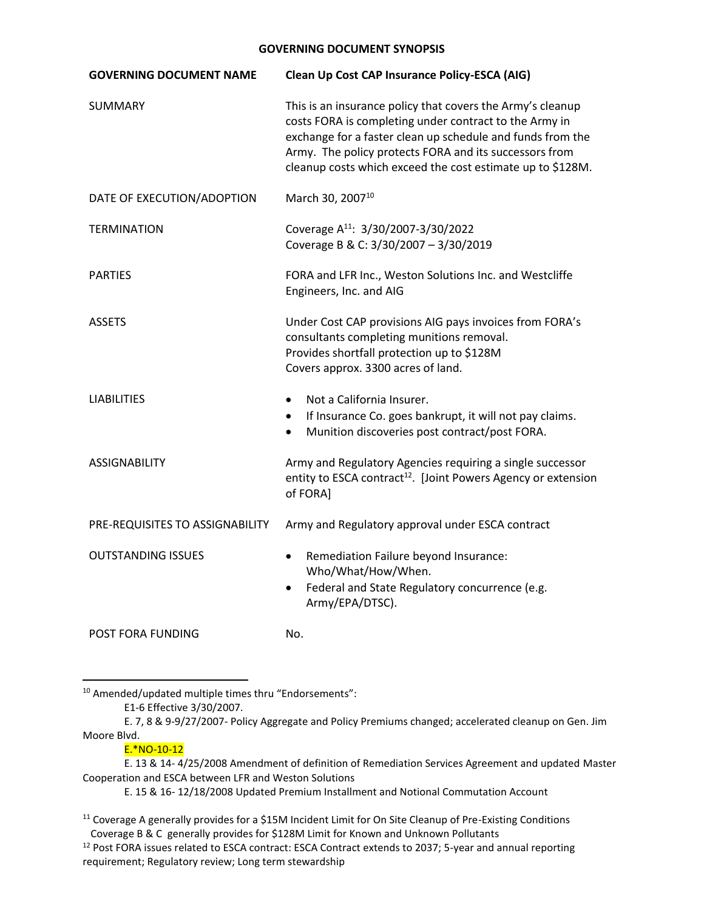| <b>GOVERNING DOCUMENT NAME</b>  | Clean Up Cost CAP Insurance Policy-ESCA (AIG)                                                                                                                                                                                                                                                              |
|---------------------------------|------------------------------------------------------------------------------------------------------------------------------------------------------------------------------------------------------------------------------------------------------------------------------------------------------------|
| <b>SUMMARY</b>                  | This is an insurance policy that covers the Army's cleanup<br>costs FORA is completing under contract to the Army in<br>exchange for a faster clean up schedule and funds from the<br>Army. The policy protects FORA and its successors from<br>cleanup costs which exceed the cost estimate up to \$128M. |
| DATE OF EXECUTION/ADOPTION      | March 30, 2007 <sup>10</sup>                                                                                                                                                                                                                                                                               |
| <b>TERMINATION</b>              | Coverage A <sup>11</sup> : 3/30/2007-3/30/2022<br>Coverage B & C: 3/30/2007 - 3/30/2019                                                                                                                                                                                                                    |
| <b>PARTIES</b>                  | FORA and LFR Inc., Weston Solutions Inc. and Westcliffe<br>Engineers, Inc. and AIG                                                                                                                                                                                                                         |
| <b>ASSETS</b>                   | Under Cost CAP provisions AIG pays invoices from FORA's<br>consultants completing munitions removal.<br>Provides shortfall protection up to \$128M<br>Covers approx. 3300 acres of land.                                                                                                                   |
| <b>LIABILITIES</b>              | Not a California Insurer.<br>$\bullet$<br>If Insurance Co. goes bankrupt, it will not pay claims.<br>Munition discoveries post contract/post FORA.                                                                                                                                                         |
| <b>ASSIGNABILITY</b>            | Army and Regulatory Agencies requiring a single successor<br>entity to ESCA contract <sup>12</sup> . [Joint Powers Agency or extension<br>of FORA]                                                                                                                                                         |
| PRE-REQUISITES TO ASSIGNABILITY | Army and Regulatory approval under ESCA contract                                                                                                                                                                                                                                                           |
| <b>OUTSTANDING ISSUES</b>       | Remediation Failure beyond Insurance:<br>$\bullet$<br>Who/What/How/When.<br>Federal and State Regulatory concurrence (e.g.<br>$\bullet$<br>Army/EPA/DTSC).                                                                                                                                                 |
| <b>POST FORA FUNDING</b>        | No.                                                                                                                                                                                                                                                                                                        |

<sup>10</sup> Amended/updated multiple times thru "Endorsements":

E. 7, 8 & 9-9/27/2007- Policy Aggregate and Policy Premiums changed; accelerated cleanup on Gen. Jim Moore Blvd.

# E.\*NO-10-12

 $\overline{a}$ 

E. 13 & 14- 4/25/2008 Amendment of definition of Remediation Services Agreement and updated Master Cooperation and ESCA between LFR and Weston Solutions

E. 15 & 16- 12/18/2008 Updated Premium Installment and Notional Commutation Account

E1-6 Effective 3/30/2007.

<sup>&</sup>lt;sup>11</sup> Coverage A generally provides for a \$15M Incident Limit for On Site Cleanup of Pre-Existing Conditions Coverage B & C generally provides for \$128M Limit for Known and Unknown Pollutants

<sup>&</sup>lt;sup>12</sup> Post FORA issues related to ESCA contract: ESCA Contract extends to 2037; 5-year and annual reporting requirement; Regulatory review; Long term stewardship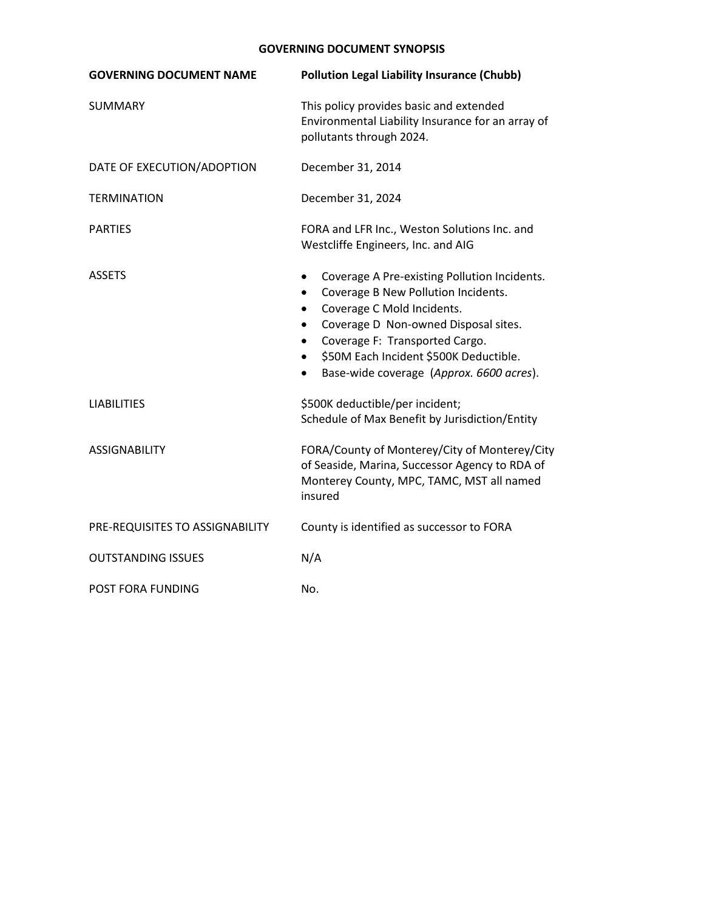| <b>GOVERNING DOCUMENT NAME</b>  | <b>Pollution Legal Liability Insurance (Chubb)</b>                                                                                                                                                                                                                                                                                    |
|---------------------------------|---------------------------------------------------------------------------------------------------------------------------------------------------------------------------------------------------------------------------------------------------------------------------------------------------------------------------------------|
| <b>SUMMARY</b>                  | This policy provides basic and extended<br>Environmental Liability Insurance for an array of<br>pollutants through 2024.                                                                                                                                                                                                              |
| DATE OF EXECUTION/ADOPTION      | December 31, 2014                                                                                                                                                                                                                                                                                                                     |
| <b>TERMINATION</b>              | December 31, 2024                                                                                                                                                                                                                                                                                                                     |
| <b>PARTIES</b>                  | FORA and LFR Inc., Weston Solutions Inc. and<br>Westcliffe Engineers, Inc. and AIG                                                                                                                                                                                                                                                    |
| <b>ASSETS</b>                   | Coverage A Pre-existing Pollution Incidents.<br>$\bullet$<br>Coverage B New Pollution Incidents.<br>$\bullet$<br>Coverage C Mold Incidents.<br>$\bullet$<br>Coverage D Non-owned Disposal sites.<br>Coverage F: Transported Cargo.<br>$\bullet$<br>\$50M Each Incident \$500K Deductible.<br>Base-wide coverage (Approx. 6600 acres). |
| <b>LIABILITIES</b>              | \$500K deductible/per incident;<br>Schedule of Max Benefit by Jurisdiction/Entity                                                                                                                                                                                                                                                     |
| <b>ASSIGNABILITY</b>            | FORA/County of Monterey/City of Monterey/City<br>of Seaside, Marina, Successor Agency to RDA of<br>Monterey County, MPC, TAMC, MST all named<br>insured                                                                                                                                                                               |
| PRE-REQUISITES TO ASSIGNABILITY | County is identified as successor to FORA                                                                                                                                                                                                                                                                                             |
| <b>OUTSTANDING ISSUES</b>       | N/A                                                                                                                                                                                                                                                                                                                                   |
| <b>POST FORA FUNDING</b>        | No.                                                                                                                                                                                                                                                                                                                                   |